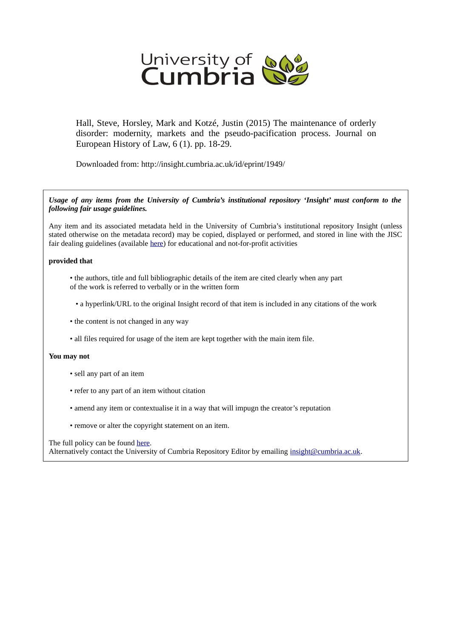

Hall, Steve, Horsley, Mark and Kotzé, Justin (2015) The maintenance of orderly disorder: modernity, markets and the pseudo-pacification process. Journal on European History of Law, 6 (1). pp. 18-29.

Downloaded from: http://insight.cumbria.ac.uk/id/eprint/1949/

*Usage of any items from the University of Cumbria's institutional repository 'Insight' must conform to the following fair usage guidelines.*

Any item and its associated metadata held in the University of Cumbria's institutional repository Insight (unless stated otherwise on the metadata record) may be copied, displayed or performed, and stored in line with the JISC fair dealing guidelines (available [here\)](http://www.ukoln.ac.uk/services/elib/papers/pa/fair/) for educational and not-for-profit activities

### **provided that**

- the authors, title and full bibliographic details of the item are cited clearly when any part of the work is referred to verbally or in the written form
	- a hyperlink/URL to the original Insight record of that item is included in any citations of the work
- the content is not changed in any way
- all files required for usage of the item are kept together with the main item file.

### **You may not**

- sell any part of an item
- refer to any part of an item without citation
- amend any item or contextualise it in a way that will impugn the creator's reputation
- remove or alter the copyright statement on an item.

#### The full policy can be found [here.](http://insight.cumbria.ac.uk/legal.html#section5)

Alternatively contact the University of Cumbria Repository Editor by emailing [insight@cumbria.ac.uk.](mailto:insight@cumbria.ac.uk)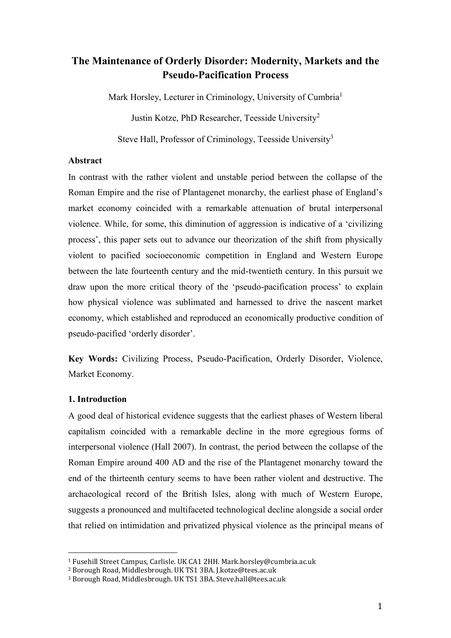# **The Maintenance of Orderly Disorder: Modernity, Markets and the Pseudo-Pacification Process**

Mark Horsley, Lecturer in Criminology, University of Cumbria<sup>1</sup>

Justin Kotze, PhD Researcher, Teesside University<sup>2</sup>

Steve Hall, Professor of Criminology, Teesside University<sup>3</sup>

# **Abstract**

In contrast with the rather violent and unstable period between the collapse of the Roman Empire and the rise of Plantagenet monarchy, the earliest phase of England's market economy coincided with a remarkable attenuation of brutal interpersonal violence. While, for some, this diminution of aggression is indicative of a 'civilizing process', this paper sets out to advance our theorization of the shift from physically violent to pacified socioeconomic competition in England and Western Europe between the late fourteenth century and the mid-twentieth century. In this pursuit we draw upon the more critical theory of the 'pseudo-pacification process' to explain how physical violence was sublimated and harnessed to drive the nascent market economy, which established and reproduced an economically productive condition of pseudo-pacified 'orderly disorder'.

**Key Words:** Civilizing Process, Pseudo-Pacification, Orderly Disorder, Violence, Market Economy.

# **1. Introduction**

 $\overline{a}$ 

A good deal of historical evidence suggests that the earliest phases of Western liberal capitalism coincided with a remarkable decline in the more egregious forms of interpersonal violence (Hall 2007). In contrast, the period between the collapse of the Roman Empire around 400 AD and the rise of the Plantagenet monarchy toward the end of the thirteenth century seems to have been rather violent and destructive. The archaeological record of the British Isles, along with much of Western Europe, suggests a pronounced and multifaceted technological decline alongside a social order that relied on intimidation and privatized physical violence as the principal means of

<sup>1</sup> Fusehill Street Campus, Carlisle. UK CA1 2HH. Mark.horsley@cumbria.ac.uk

<sup>2</sup> Borough Road, Middlesbrough. UK TS1 3BA. J.kotze@tees.ac.uk

<sup>3</sup> Borough Road, Middlesbrough. UK TS1 3BA. Steve.hall@tees.ac.uk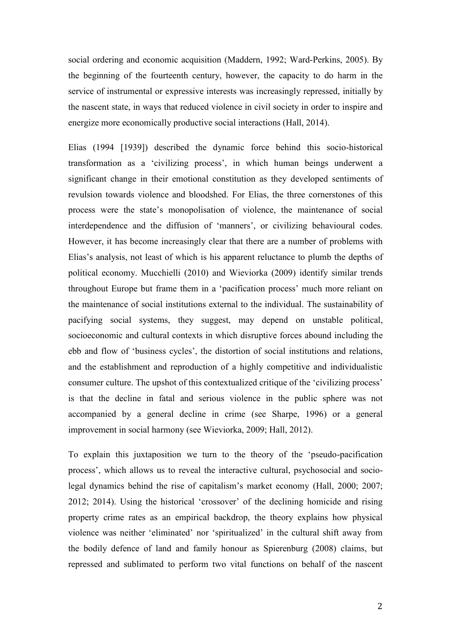social ordering and economic acquisition (Maddern, 1992; Ward-Perkins, 2005). By the beginning of the fourteenth century, however, the capacity to do harm in the service of instrumental or expressive interests was increasingly repressed, initially by the nascent state, in ways that reduced violence in civil society in order to inspire and energize more economically productive social interactions (Hall, 2014).

Elias (1994 [1939]) described the dynamic force behind this socio-historical transformation as a 'civilizing process', in which human beings underwent a significant change in their emotional constitution as they developed sentiments of revulsion towards violence and bloodshed. For Elias, the three cornerstones of this process were the state's monopolisation of violence, the maintenance of social interdependence and the diffusion of 'manners', or civilizing behavioural codes. However, it has become increasingly clear that there are a number of problems with Elias's analysis, not least of which is his apparent reluctance to plumb the depths of political economy. Mucchielli (2010) and Wieviorka (2009) identify similar trends throughout Europe but frame them in a 'pacification process' much more reliant on the maintenance of social institutions external to the individual. The sustainability of pacifying social systems, they suggest, may depend on unstable political, socioeconomic and cultural contexts in which disruptive forces abound including the ebb and flow of 'business cycles', the distortion of social institutions and relations, and the establishment and reproduction of a highly competitive and individualistic consumer culture. The upshot of this contextualized critique of the 'civilizing process' is that the decline in fatal and serious violence in the public sphere was not accompanied by a general decline in crime (see Sharpe, 1996) or a general improvement in social harmony (see Wieviorka, 2009; Hall, 2012).

To explain this juxtaposition we turn to the theory of the 'pseudo-pacification process', which allows us to reveal the interactive cultural, psychosocial and sociolegal dynamics behind the rise of capitalism's market economy (Hall, 2000; 2007; 2012; 2014). Using the historical 'crossover' of the declining homicide and rising property crime rates as an empirical backdrop, the theory explains how physical violence was neither 'eliminated' nor 'spiritualized' in the cultural shift away from the bodily defence of land and family honour as Spierenburg (2008) claims, but repressed and sublimated to perform two vital functions on behalf of the nascent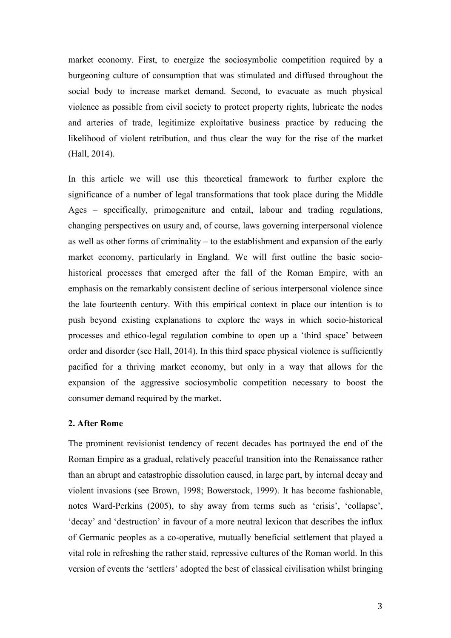market economy. First, to energize the sociosymbolic competition required by a burgeoning culture of consumption that was stimulated and diffused throughout the social body to increase market demand. Second, to evacuate as much physical violence as possible from civil society to protect property rights, lubricate the nodes and arteries of trade, legitimize exploitative business practice by reducing the likelihood of violent retribution, and thus clear the way for the rise of the market (Hall, 2014).

In this article we will use this theoretical framework to further explore the significance of a number of legal transformations that took place during the Middle Ages – specifically, primogeniture and entail, labour and trading regulations, changing perspectives on usury and, of course, laws governing interpersonal violence as well as other forms of criminality – to the establishment and expansion of the early market economy, particularly in England. We will first outline the basic sociohistorical processes that emerged after the fall of the Roman Empire, with an emphasis on the remarkably consistent decline of serious interpersonal violence since the late fourteenth century. With this empirical context in place our intention is to push beyond existing explanations to explore the ways in which socio-historical processes and ethico-legal regulation combine to open up a 'third space' between order and disorder (see Hall, 2014). In this third space physical violence is sufficiently pacified for a thriving market economy, but only in a way that allows for the expansion of the aggressive sociosymbolic competition necessary to boost the consumer demand required by the market.

## **2. After Rome**

The prominent revisionist tendency of recent decades has portrayed the end of the Roman Empire as a gradual, relatively peaceful transition into the Renaissance rather than an abrupt and catastrophic dissolution caused, in large part, by internal decay and violent invasions (see Brown, 1998; Bowerstock, 1999). It has become fashionable, notes Ward-Perkins (2005), to shy away from terms such as 'crisis', 'collapse', 'decay' and 'destruction' in favour of a more neutral lexicon that describes the influx of Germanic peoples as a co-operative, mutually beneficial settlement that played a vital role in refreshing the rather staid, repressive cultures of the Roman world. In this version of events the 'settlers' adopted the best of classical civilisation whilst bringing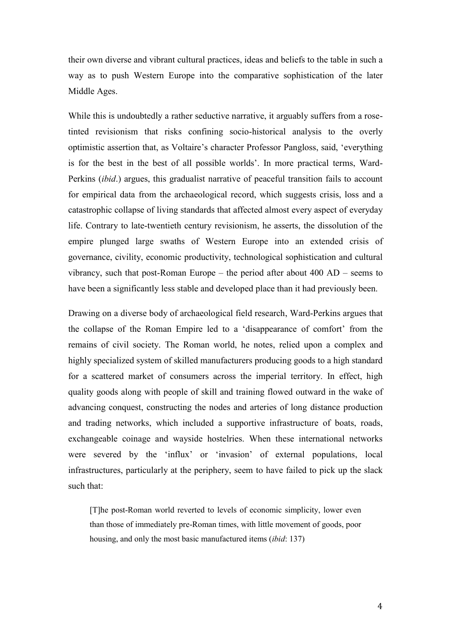their own diverse and vibrant cultural practices, ideas and beliefs to the table in such a way as to push Western Europe into the comparative sophistication of the later Middle Ages.

While this is undoubtedly a rather seductive narrative, it arguably suffers from a rosetinted revisionism that risks confining socio-historical analysis to the overly optimistic assertion that, as Voltaire's character Professor Pangloss, said, 'everything is for the best in the best of all possible worlds'. In more practical terms, Ward-Perkins (*ibid*.) argues, this gradualist narrative of peaceful transition fails to account for empirical data from the archaeological record, which suggests crisis, loss and a catastrophic collapse of living standards that affected almost every aspect of everyday life. Contrary to late-twentieth century revisionism, he asserts, the dissolution of the empire plunged large swaths of Western Europe into an extended crisis of governance, civility, economic productivity, technological sophistication and cultural vibrancy, such that post-Roman Europe – the period after about 400 AD – seems to have been a significantly less stable and developed place than it had previously been.

Drawing on a diverse body of archaeological field research, Ward-Perkins argues that the collapse of the Roman Empire led to a 'disappearance of comfort' from the remains of civil society. The Roman world, he notes, relied upon a complex and highly specialized system of skilled manufacturers producing goods to a high standard for a scattered market of consumers across the imperial territory. In effect, high quality goods along with people of skill and training flowed outward in the wake of advancing conquest, constructing the nodes and arteries of long distance production and trading networks, which included a supportive infrastructure of boats, roads, exchangeable coinage and wayside hostelries. When these international networks were severed by the 'influx' or 'invasion' of external populations, local infrastructures, particularly at the periphery, seem to have failed to pick up the slack such that:

[T]he post-Roman world reverted to levels of economic simplicity, lower even than those of immediately pre-Roman times, with little movement of goods, poor housing, and only the most basic manufactured items (*ibid*: 137)

4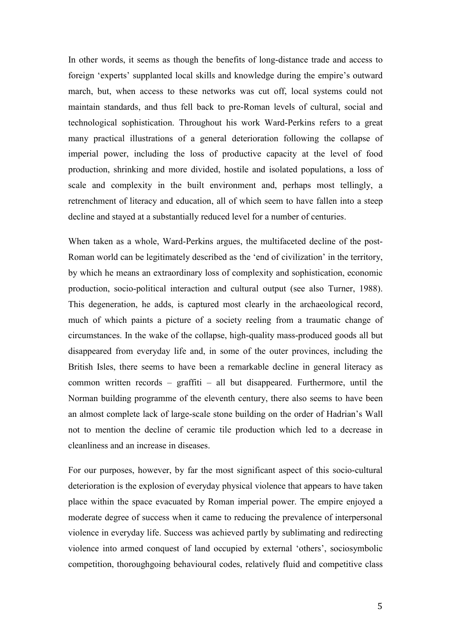In other words, it seems as though the benefits of long-distance trade and access to foreign 'experts' supplanted local skills and knowledge during the empire's outward march, but, when access to these networks was cut off, local systems could not maintain standards, and thus fell back to pre-Roman levels of cultural, social and technological sophistication. Throughout his work Ward-Perkins refers to a great many practical illustrations of a general deterioration following the collapse of imperial power, including the loss of productive capacity at the level of food production, shrinking and more divided, hostile and isolated populations, a loss of scale and complexity in the built environment and, perhaps most tellingly, a retrenchment of literacy and education, all of which seem to have fallen into a steep decline and stayed at a substantially reduced level for a number of centuries.

When taken as a whole, Ward-Perkins argues, the multifaceted decline of the post-Roman world can be legitimately described as the 'end of civilization' in the territory, by which he means an extraordinary loss of complexity and sophistication, economic production, socio-political interaction and cultural output (see also Turner, 1988). This degeneration, he adds, is captured most clearly in the archaeological record, much of which paints a picture of a society reeling from a traumatic change of circumstances. In the wake of the collapse, high-quality mass-produced goods all but disappeared from everyday life and, in some of the outer provinces, including the British Isles, there seems to have been a remarkable decline in general literacy as common written records – graffiti – all but disappeared. Furthermore, until the Norman building programme of the eleventh century, there also seems to have been an almost complete lack of large-scale stone building on the order of Hadrian's Wall not to mention the decline of ceramic tile production which led to a decrease in cleanliness and an increase in diseases.

For our purposes, however, by far the most significant aspect of this socio-cultural deterioration is the explosion of everyday physical violence that appears to have taken place within the space evacuated by Roman imperial power. The empire enjoyed a moderate degree of success when it came to reducing the prevalence of interpersonal violence in everyday life. Success was achieved partly by sublimating and redirecting violence into armed conquest of land occupied by external 'others', sociosymbolic competition, thoroughgoing behavioural codes, relatively fluid and competitive class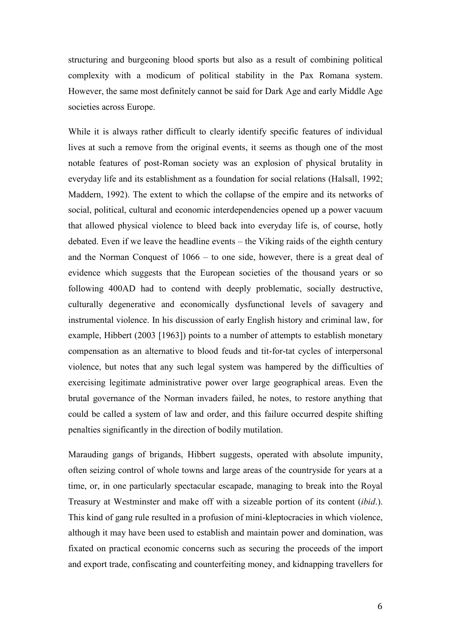structuring and burgeoning blood sports but also as a result of combining political complexity with a modicum of political stability in the Pax Romana system. However, the same most definitely cannot be said for Dark Age and early Middle Age societies across Europe.

While it is always rather difficult to clearly identify specific features of individual lives at such a remove from the original events, it seems as though one of the most notable features of post-Roman society was an explosion of physical brutality in everyday life and its establishment as a foundation for social relations (Halsall, 1992; Maddern, 1992). The extent to which the collapse of the empire and its networks of social, political, cultural and economic interdependencies opened up a power vacuum that allowed physical violence to bleed back into everyday life is, of course, hotly debated. Even if we leave the headline events – the Viking raids of the eighth century and the Norman Conquest of 1066 – to one side, however, there is a great deal of evidence which suggests that the European societies of the thousand years or so following 400AD had to contend with deeply problematic, socially destructive, culturally degenerative and economically dysfunctional levels of savagery and instrumental violence. In his discussion of early English history and criminal law, for example, Hibbert (2003 [1963]) points to a number of attempts to establish monetary compensation as an alternative to blood feuds and tit-for-tat cycles of interpersonal violence, but notes that any such legal system was hampered by the difficulties of exercising legitimate administrative power over large geographical areas. Even the brutal governance of the Norman invaders failed, he notes, to restore anything that could be called a system of law and order, and this failure occurred despite shifting penalties significantly in the direction of bodily mutilation.

Marauding gangs of brigands, Hibbert suggests, operated with absolute impunity, often seizing control of whole towns and large areas of the countryside for years at a time, or, in one particularly spectacular escapade, managing to break into the Royal Treasury at Westminster and make off with a sizeable portion of its content (*ibid*.). This kind of gang rule resulted in a profusion of mini-kleptocracies in which violence, although it may have been used to establish and maintain power and domination, was fixated on practical economic concerns such as securing the proceeds of the import and export trade, confiscating and counterfeiting money, and kidnapping travellers for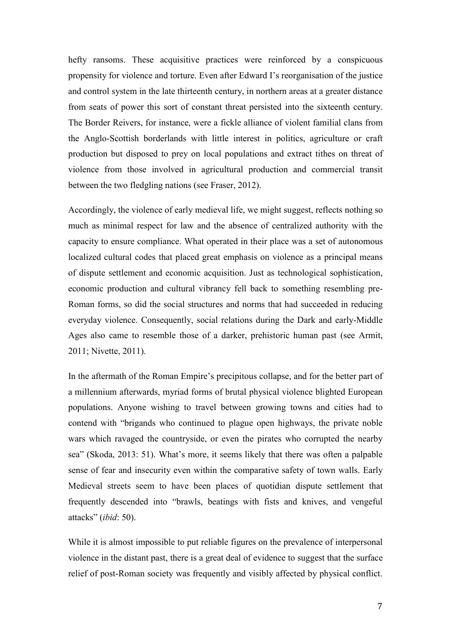hefty ransoms. These acquisitive practices were reinforced by a conspicuous propensity for violence and torture. Even after Edward I's reorganisation of the justice and control system in the late thirteenth century, in northern areas at a greater distance from seats of power this sort of constant threat persisted into the sixteenth century. The Border Reivers, for instance, were a fickle alliance of violent familial clans from the Anglo-Scottish borderlands with little interest in politics, agriculture or craft production but disposed to prey on local populations and extract tithes on threat of violence from those involved in agricultural production and commercial transit between the two fledgling nations (see Fraser, 2012).

Accordingly, the violence of early medieval life, we might suggest, reflects nothing so much as minimal respect for law and the absence of centralized authority with the capacity to ensure compliance. What operated in their place was a set of autonomous localized cultural codes that placed great emphasis on violence as a principal means of dispute settlement and economic acquisition. Just as technological sophistication, economic production and cultural vibrancy fell back to something resembling pre-Roman forms, so did the social structures and norms that had succeeded in reducing everyday violence. Consequently, social relations during the Dark and early-Middle Ages also came to resemble those of a darker, prehistoric human past (see Armit, 2011; Nivette, 2011).

In the aftermath of the Roman Empire's precipitous collapse, and for the better part of a millennium afterwards, myriad forms of brutal physical violence blighted European populations. Anyone wishing to travel between growing towns and cities had to contend with "brigands who continued to plague open highways, the private noble wars which ravaged the countryside, or even the pirates who corrupted the nearby sea" (Skoda, 2013: 51). What's more, it seems likely that there was often a palpable sense of fear and insecurity even within the comparative safety of town walls. Early Medieval streets seem to have been places of quotidian dispute settlement that frequently descended into "brawls, beatings with fists and knives, and vengeful attacks" (*ibid*: 50).

While it is almost impossible to put reliable figures on the prevalence of interpersonal violence in the distant past, there is a great deal of evidence to suggest that the surface relief of post-Roman society was frequently and visibly affected by physical conflict.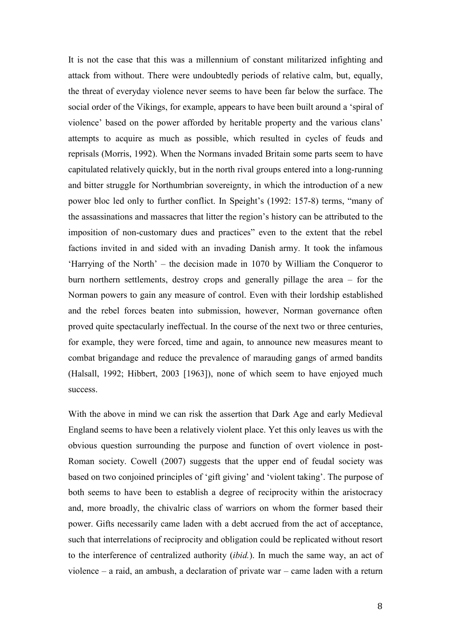It is not the case that this was a millennium of constant militarized infighting and attack from without. There were undoubtedly periods of relative calm, but, equally, the threat of everyday violence never seems to have been far below the surface. The social order of the Vikings, for example, appears to have been built around a 'spiral of violence' based on the power afforded by heritable property and the various clans' attempts to acquire as much as possible, which resulted in cycles of feuds and reprisals (Morris, 1992). When the Normans invaded Britain some parts seem to have capitulated relatively quickly, but in the north rival groups entered into a long-running and bitter struggle for Northumbrian sovereignty, in which the introduction of a new power bloc led only to further conflict. In Speight's (1992: 157-8) terms, "many of the assassinations and massacres that litter the region's history can be attributed to the imposition of non-customary dues and practices" even to the extent that the rebel factions invited in and sided with an invading Danish army. It took the infamous 'Harrying of the North' – the decision made in 1070 by William the Conqueror to burn northern settlements, destroy crops and generally pillage the area – for the Norman powers to gain any measure of control. Even with their lordship established and the rebel forces beaten into submission, however, Norman governance often proved quite spectacularly ineffectual. In the course of the next two or three centuries, for example, they were forced, time and again, to announce new measures meant to combat brigandage and reduce the prevalence of marauding gangs of armed bandits (Halsall, 1992; Hibbert, 2003 [1963]), none of which seem to have enjoyed much success.

With the above in mind we can risk the assertion that Dark Age and early Medieval England seems to have been a relatively violent place. Yet this only leaves us with the obvious question surrounding the purpose and function of overt violence in post-Roman society. Cowell (2007) suggests that the upper end of feudal society was based on two conjoined principles of 'gift giving' and 'violent taking'. The purpose of both seems to have been to establish a degree of reciprocity within the aristocracy and, more broadly, the chivalric class of warriors on whom the former based their power. Gifts necessarily came laden with a debt accrued from the act of acceptance, such that interrelations of reciprocity and obligation could be replicated without resort to the interference of centralized authority (*ibid.*). In much the same way, an act of violence – a raid, an ambush, a declaration of private war – came laden with a return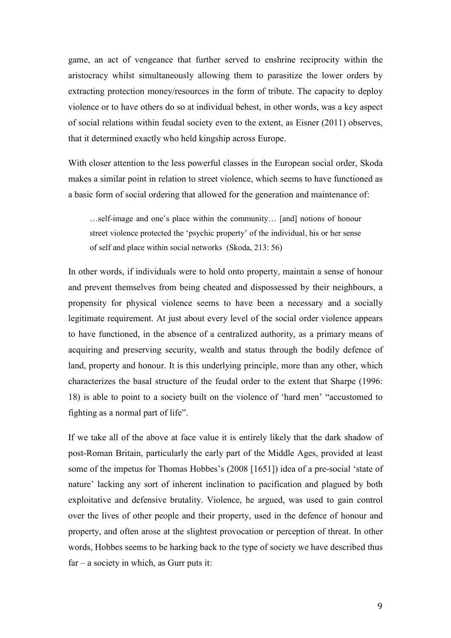game, an act of vengeance that further served to enshrine reciprocity within the aristocracy whilst simultaneously allowing them to parasitize the lower orders by extracting protection money/resources in the form of tribute. The capacity to deploy violence or to have others do so at individual behest, in other words, was a key aspect of social relations within feudal society even to the extent, as Eisner (2011) observes, that it determined exactly who held kingship across Europe.

With closer attention to the less powerful classes in the European social order, Skoda makes a similar point in relation to street violence, which seems to have functioned as a basic form of social ordering that allowed for the generation and maintenance of:

…self-image and one's place within the community… [and] notions of honour street violence protected the 'psychic property' of the individual, his or her sense of self and place within social networks (Skoda, 213: 56)

In other words, if individuals were to hold onto property, maintain a sense of honour and prevent themselves from being cheated and dispossessed by their neighbours, a propensity for physical violence seems to have been a necessary and a socially legitimate requirement. At just about every level of the social order violence appears to have functioned, in the absence of a centralized authority, as a primary means of acquiring and preserving security, wealth and status through the bodily defence of land, property and honour. It is this underlying principle, more than any other, which characterizes the basal structure of the feudal order to the extent that Sharpe (1996: 18) is able to point to a society built on the violence of 'hard men' "accustomed to fighting as a normal part of life".

If we take all of the above at face value it is entirely likely that the dark shadow of post-Roman Britain, particularly the early part of the Middle Ages, provided at least some of the impetus for Thomas Hobbes's (2008 [1651]) idea of a pre-social 'state of nature' lacking any sort of inherent inclination to pacification and plagued by both exploitative and defensive brutality. Violence, he argued, was used to gain control over the lives of other people and their property, used in the defence of honour and property, and often arose at the slightest provocation or perception of threat. In other words, Hobbes seems to be harking back to the type of society we have described thus  $far - a$  society in which, as Gurr puts it: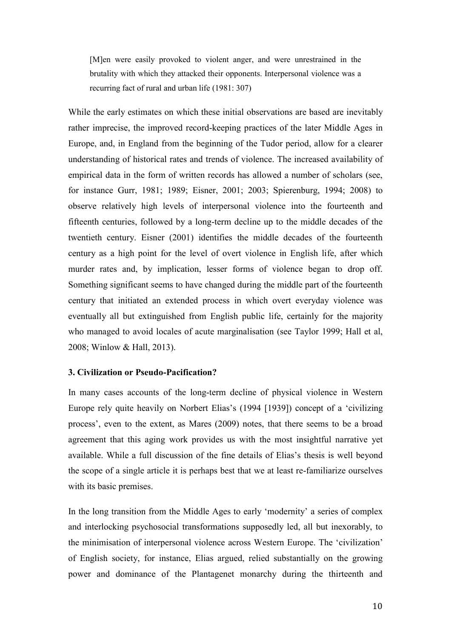[M]en were easily provoked to violent anger, and were unrestrained in the brutality with which they attacked their opponents. Interpersonal violence was a recurring fact of rural and urban life (1981: 307)

While the early estimates on which these initial observations are based are inevitably rather imprecise, the improved record-keeping practices of the later Middle Ages in Europe, and, in England from the beginning of the Tudor period, allow for a clearer understanding of historical rates and trends of violence. The increased availability of empirical data in the form of written records has allowed a number of scholars (see, for instance Gurr, 1981; 1989; Eisner, 2001; 2003; Spierenburg, 1994; 2008) to observe relatively high levels of interpersonal violence into the fourteenth and fifteenth centuries, followed by a long-term decline up to the middle decades of the twentieth century. Eisner (2001) identifies the middle decades of the fourteenth century as a high point for the level of overt violence in English life, after which murder rates and, by implication, lesser forms of violence began to drop off. Something significant seems to have changed during the middle part of the fourteenth century that initiated an extended process in which overt everyday violence was eventually all but extinguished from English public life, certainly for the majority who managed to avoid locales of acute marginalisation (see Taylor 1999; Hall et al, 2008; Winlow & Hall, 2013).

# **3. Civilization or Pseudo-Pacification?**

In many cases accounts of the long-term decline of physical violence in Western Europe rely quite heavily on Norbert Elias's (1994 [1939]) concept of a 'civilizing process', even to the extent, as Mares (2009) notes, that there seems to be a broad agreement that this aging work provides us with the most insightful narrative yet available. While a full discussion of the fine details of Elias's thesis is well beyond the scope of a single article it is perhaps best that we at least re-familiarize ourselves with its basic premises.

In the long transition from the Middle Ages to early 'modernity' a series of complex and interlocking psychosocial transformations supposedly led, all but inexorably, to the minimisation of interpersonal violence across Western Europe. The 'civilization' of English society, for instance, Elias argued, relied substantially on the growing power and dominance of the Plantagenet monarchy during the thirteenth and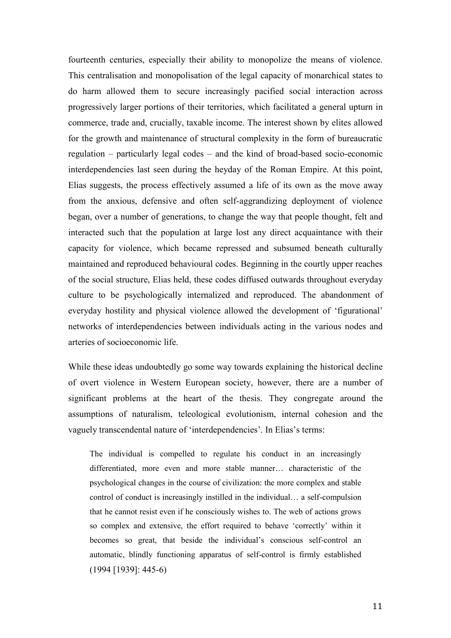fourteenth centuries, especially their ability to monopolize the means of violence. This centralisation and monopolisation of the legal capacity of monarchical states to do harm allowed them to secure increasingly pacified social interaction across progressively larger portions of their territories, which facilitated a general upturn in commerce, trade and, crucially, taxable income. The interest shown by elites allowed for the growth and maintenance of structural complexity in the form of bureaucratic regulation – particularly legal codes – and the kind of broad-based socio-economic interdependencies last seen during the heyday of the Roman Empire. At this point, Elias suggests, the process effectively assumed a life of its own as the move away from the anxious, defensive and often self-aggrandizing deployment of violence began, over a number of generations, to change the way that people thought, felt and interacted such that the population at large lost any direct acquaintance with their capacity for violence, which became repressed and subsumed beneath culturally maintained and reproduced behavioural codes. Beginning in the courtly upper reaches of the social structure, Elias held, these codes diffused outwards throughout everyday culture to be psychologically internalized and reproduced. The abandonment of everyday hostility and physical violence allowed the development of 'figurational' networks of interdependencies between individuals acting in the various nodes and arteries of socioeconomic life.

While these ideas undoubtedly go some way towards explaining the historical decline of overt violence in Western European society, however, there are a number of significant problems at the heart of the thesis. They congregate around the assumptions of naturalism, teleological evolutionism, internal cohesion and the vaguely transcendental nature of 'interdependencies'. In Elias's terms:

The individual is compelled to regulate his conduct in an increasingly differentiated, more even and more stable manner… characteristic of the psychological changes in the course of civilization: the more complex and stable control of conduct is increasingly instilled in the individual… a self-compulsion that he cannot resist even if he consciously wishes to. The web of actions grows so complex and extensive, the effort required to behave 'correctly' within it becomes so great, that beside the individual's conscious self-control an automatic, blindly functioning apparatus of self-control is firmly established (1994 [1939]: 445-6)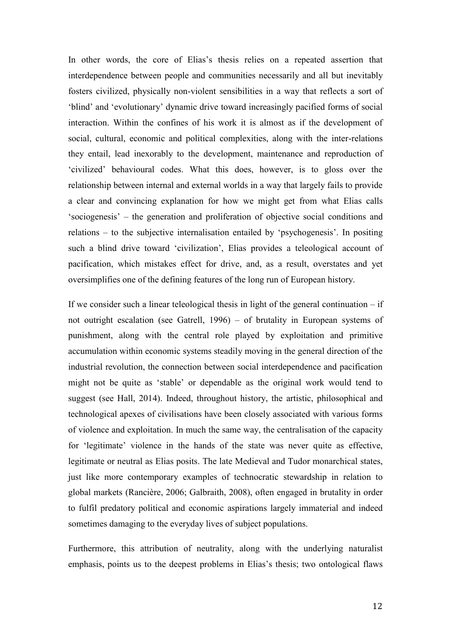In other words, the core of Elias's thesis relies on a repeated assertion that interdependence between people and communities necessarily and all but inevitably fosters civilized, physically non-violent sensibilities in a way that reflects a sort of 'blind' and 'evolutionary' dynamic drive toward increasingly pacified forms of social interaction. Within the confines of his work it is almost as if the development of social, cultural, economic and political complexities, along with the inter-relations they entail, lead inexorably to the development, maintenance and reproduction of 'civilized' behavioural codes. What this does, however, is to gloss over the relationship between internal and external worlds in a way that largely fails to provide a clear and convincing explanation for how we might get from what Elias calls 'sociogenesis' – the generation and proliferation of objective social conditions and relations – to the subjective internalisation entailed by 'psychogenesis'. In positing such a blind drive toward 'civilization', Elias provides a teleological account of pacification, which mistakes effect for drive, and, as a result, overstates and yet oversimplifies one of the defining features of the long run of European history.

If we consider such a linear teleological thesis in light of the general continuation  $-$  if not outright escalation (see Gatrell, 1996) – of brutality in European systems of punishment, along with the central role played by exploitation and primitive accumulation within economic systems steadily moving in the general direction of the industrial revolution, the connection between social interdependence and pacification might not be quite as 'stable' or dependable as the original work would tend to suggest (see Hall, 2014). Indeed, throughout history, the artistic, philosophical and technological apexes of civilisations have been closely associated with various forms of violence and exploitation. In much the same way, the centralisation of the capacity for 'legitimate' violence in the hands of the state was never quite as effective, legitimate or neutral as Elias posits. The late Medieval and Tudor monarchical states, just like more contemporary examples of technocratic stewardship in relation to global markets (Rancière, 2006; Galbraith, 2008), often engaged in brutality in order to fulfil predatory political and economic aspirations largely immaterial and indeed sometimes damaging to the everyday lives of subject populations.

Furthermore, this attribution of neutrality, along with the underlying naturalist emphasis, points us to the deepest problems in Elias's thesis; two ontological flaws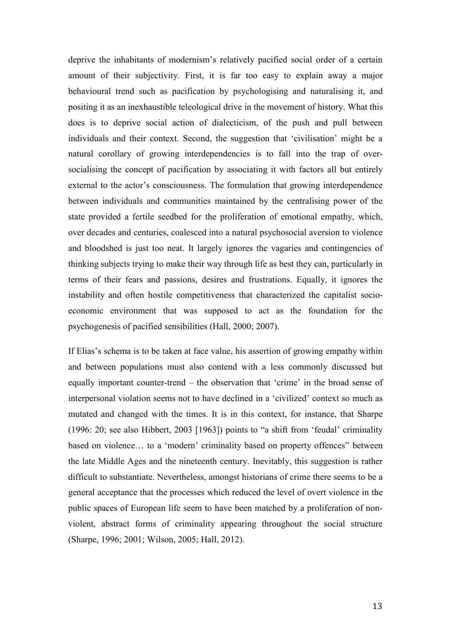deprive the inhabitants of modernism's relatively pacified social order of a certain amount of their subjectivity. First, it is far too easy to explain away a major behavioural trend such as pacification by psychologising and naturalising it, and positing it as an inexhaustible teleological drive in the movement of history. What this does is to deprive social action of dialecticism, of the push and pull between individuals and their context. Second, the suggestion that 'civilisation' might be a natural corollary of growing interdependencies is to fall into the trap of oversocialising the concept of pacification by associating it with factors all but entirely external to the actor's consciousness. The formulation that growing interdependence between individuals and communities maintained by the centralising power of the state provided a fertile seedbed for the proliferation of emotional empathy, which, over decades and centuries, coalesced into a natural psychosocial aversion to violence and bloodshed is just too neat. It largely ignores the vagaries and contingencies of thinking subjects trying to make their way through life as best they can, particularly in terms of their fears and passions, desires and frustrations. Equally, it ignores the instability and often hostile competitiveness that characterized the capitalist socioeconomic environment that was supposed to act as the foundation for the psychogenesis of pacified sensibilities (Hall, 2000; 2007).

If Elias's schema is to be taken at face value, his assertion of growing empathy within and between populations must also contend with a less commonly discussed but equally important counter-trend – the observation that 'crime' in the broad sense of interpersonal violation seems not to have declined in a 'civilized' context so much as mutated and changed with the times. It is in this context, for instance, that Sharpe (1996: 20; see also Hibbert, 2003 [1963]) points to "a shift from 'feudal' criminality based on violence… to a 'modern' criminality based on property offences" between the late Middle Ages and the nineteenth century. Inevitably, this suggestion is rather difficult to substantiate. Nevertheless, amongst historians of crime there seems to be a general acceptance that the processes which reduced the level of overt violence in the public spaces of European life seem to have been matched by a proliferation of nonviolent, abstract forms of criminality appearing throughout the social structure (Sharpe, 1996; 2001; Wilson, 2005; Hall, 2012).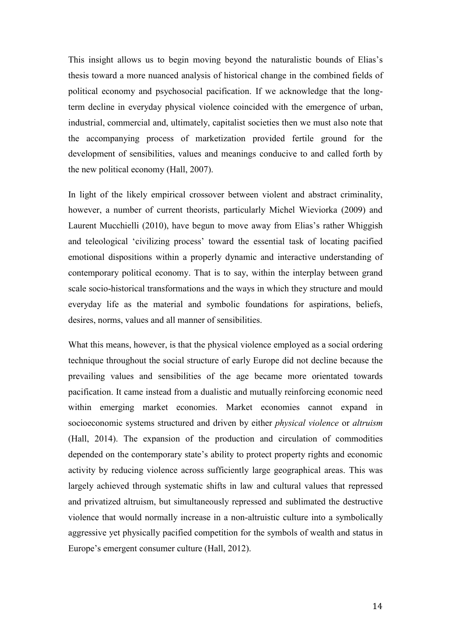This insight allows us to begin moving beyond the naturalistic bounds of Elias's thesis toward a more nuanced analysis of historical change in the combined fields of political economy and psychosocial pacification. If we acknowledge that the longterm decline in everyday physical violence coincided with the emergence of urban, industrial, commercial and, ultimately, capitalist societies then we must also note that the accompanying process of marketization provided fertile ground for the development of sensibilities, values and meanings conducive to and called forth by the new political economy (Hall, 2007).

In light of the likely empirical crossover between violent and abstract criminality, however, a number of current theorists, particularly Michel Wieviorka (2009) and Laurent Mucchielli (2010), have begun to move away from Elias's rather Whiggish and teleological 'civilizing process' toward the essential task of locating pacified emotional dispositions within a properly dynamic and interactive understanding of contemporary political economy. That is to say, within the interplay between grand scale socio-historical transformations and the ways in which they structure and mould everyday life as the material and symbolic foundations for aspirations, beliefs, desires, norms, values and all manner of sensibilities.

What this means, however, is that the physical violence employed as a social ordering technique throughout the social structure of early Europe did not decline because the prevailing values and sensibilities of the age became more orientated towards pacification. It came instead from a dualistic and mutually reinforcing economic need within emerging market economies. Market economies cannot expand in socioeconomic systems structured and driven by either *physical violence* or *altruism*  (Hall, 2014). The expansion of the production and circulation of commodities depended on the contemporary state's ability to protect property rights and economic activity by reducing violence across sufficiently large geographical areas. This was largely achieved through systematic shifts in law and cultural values that repressed and privatized altruism, but simultaneously repressed and sublimated the destructive violence that would normally increase in a non-altruistic culture into a symbolically aggressive yet physically pacified competition for the symbols of wealth and status in Europe's emergent consumer culture (Hall, 2012).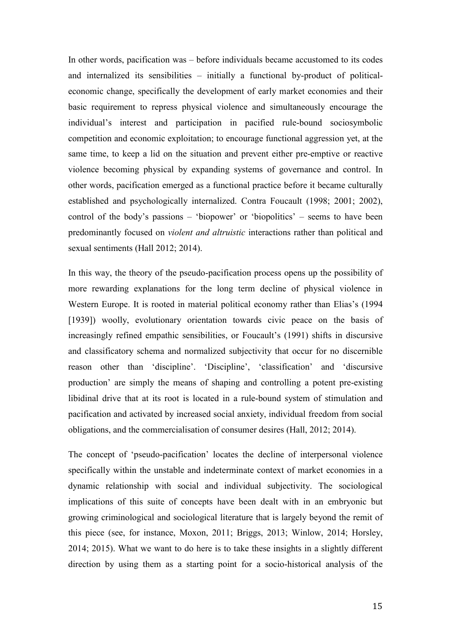In other words, pacification was – before individuals became accustomed to its codes and internalized its sensibilities – initially a functional by-product of politicaleconomic change, specifically the development of early market economies and their basic requirement to repress physical violence and simultaneously encourage the individual's interest and participation in pacified rule-bound sociosymbolic competition and economic exploitation; to encourage functional aggression yet, at the same time, to keep a lid on the situation and prevent either pre-emptive or reactive violence becoming physical by expanding systems of governance and control. In other words, pacification emerged as a functional practice before it became culturally established and psychologically internalized. Contra Foucault (1998; 2001; 2002), control of the body's passions – 'biopower' or 'biopolitics' – seems to have been predominantly focused on *violent and altruistic* interactions rather than political and sexual sentiments (Hall 2012; 2014).

In this way, the theory of the pseudo-pacification process opens up the possibility of more rewarding explanations for the long term decline of physical violence in Western Europe. It is rooted in material political economy rather than Elias's (1994 [1939]) woolly, evolutionary orientation towards civic peace on the basis of increasingly refined empathic sensibilities, or Foucault's (1991) shifts in discursive and classificatory schema and normalized subjectivity that occur for no discernible reason other than 'discipline'. 'Discipline', 'classification' and 'discursive production' are simply the means of shaping and controlling a potent pre-existing libidinal drive that at its root is located in a rule-bound system of stimulation and pacification and activated by increased social anxiety, individual freedom from social obligations, and the commercialisation of consumer desires (Hall, 2012; 2014).

The concept of 'pseudo-pacification' locates the decline of interpersonal violence specifically within the unstable and indeterminate context of market economies in a dynamic relationship with social and individual subjectivity. The sociological implications of this suite of concepts have been dealt with in an embryonic but growing criminological and sociological literature that is largely beyond the remit of this piece (see, for instance, Moxon, 2011; Briggs, 2013; Winlow, 2014; Horsley, 2014; 2015). What we want to do here is to take these insights in a slightly different direction by using them as a starting point for a socio-historical analysis of the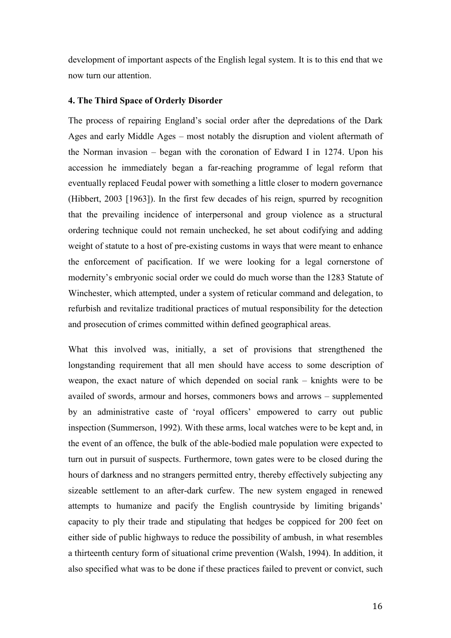development of important aspects of the English legal system. It is to this end that we now turn our attention.

## **4. The Third Space of Orderly Disorder**

The process of repairing England's social order after the depredations of the Dark Ages and early Middle Ages – most notably the disruption and violent aftermath of the Norman invasion – began with the coronation of Edward I in 1274. Upon his accession he immediately began a far-reaching programme of legal reform that eventually replaced Feudal power with something a little closer to modern governance (Hibbert, 2003 [1963]). In the first few decades of his reign, spurred by recognition that the prevailing incidence of interpersonal and group violence as a structural ordering technique could not remain unchecked, he set about codifying and adding weight of statute to a host of pre-existing customs in ways that were meant to enhance the enforcement of pacification. If we were looking for a legal cornerstone of modernity's embryonic social order we could do much worse than the 1283 Statute of Winchester, which attempted, under a system of reticular command and delegation, to refurbish and revitalize traditional practices of mutual responsibility for the detection and prosecution of crimes committed within defined geographical areas.

What this involved was, initially, a set of provisions that strengthened the longstanding requirement that all men should have access to some description of weapon, the exact nature of which depended on social rank – knights were to be availed of swords, armour and horses, commoners bows and arrows – supplemented by an administrative caste of 'royal officers' empowered to carry out public inspection (Summerson, 1992). With these arms, local watches were to be kept and, in the event of an offence, the bulk of the able-bodied male population were expected to turn out in pursuit of suspects. Furthermore, town gates were to be closed during the hours of darkness and no strangers permitted entry, thereby effectively subjecting any sizeable settlement to an after-dark curfew. The new system engaged in renewed attempts to humanize and pacify the English countryside by limiting brigands' capacity to ply their trade and stipulating that hedges be coppiced for 200 feet on either side of public highways to reduce the possibility of ambush, in what resembles a thirteenth century form of situational crime prevention (Walsh, 1994). In addition, it also specified what was to be done if these practices failed to prevent or convict, such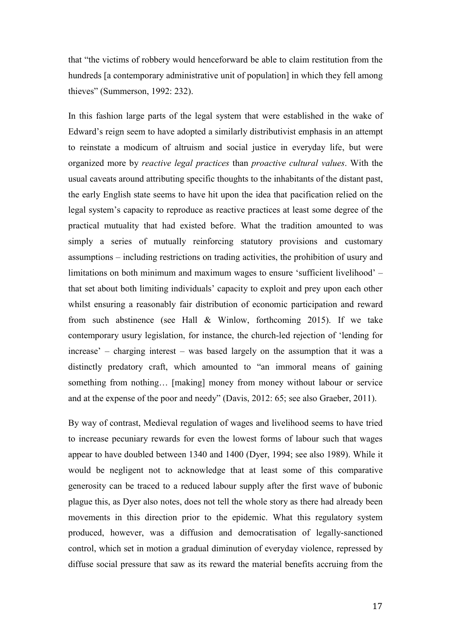that "the victims of robbery would henceforward be able to claim restitution from the hundreds [a contemporary administrative unit of population] in which they fell among thieves" (Summerson, 1992: 232).

In this fashion large parts of the legal system that were established in the wake of Edward's reign seem to have adopted a similarly distributivist emphasis in an attempt to reinstate a modicum of altruism and social justice in everyday life, but were organized more by *reactive legal practices* than *proactive cultural values*. With the usual caveats around attributing specific thoughts to the inhabitants of the distant past, the early English state seems to have hit upon the idea that pacification relied on the legal system's capacity to reproduce as reactive practices at least some degree of the practical mutuality that had existed before. What the tradition amounted to was simply a series of mutually reinforcing statutory provisions and customary assumptions – including restrictions on trading activities, the prohibition of usury and limitations on both minimum and maximum wages to ensure 'sufficient livelihood' – that set about both limiting individuals' capacity to exploit and prey upon each other whilst ensuring a reasonably fair distribution of economic participation and reward from such abstinence (see Hall & Winlow, forthcoming 2015). If we take contemporary usury legislation, for instance, the church-led rejection of 'lending for increase' – charging interest – was based largely on the assumption that it was a distinctly predatory craft, which amounted to "an immoral means of gaining something from nothing... [making] money from money without labour or service and at the expense of the poor and needy" (Davis, 2012: 65; see also Graeber, 2011).

By way of contrast, Medieval regulation of wages and livelihood seems to have tried to increase pecuniary rewards for even the lowest forms of labour such that wages appear to have doubled between 1340 and 1400 (Dyer, 1994; see also 1989). While it would be negligent not to acknowledge that at least some of this comparative generosity can be traced to a reduced labour supply after the first wave of bubonic plague this, as Dyer also notes, does not tell the whole story as there had already been movements in this direction prior to the epidemic. What this regulatory system produced, however, was a diffusion and democratisation of legally-sanctioned control, which set in motion a gradual diminution of everyday violence, repressed by diffuse social pressure that saw as its reward the material benefits accruing from the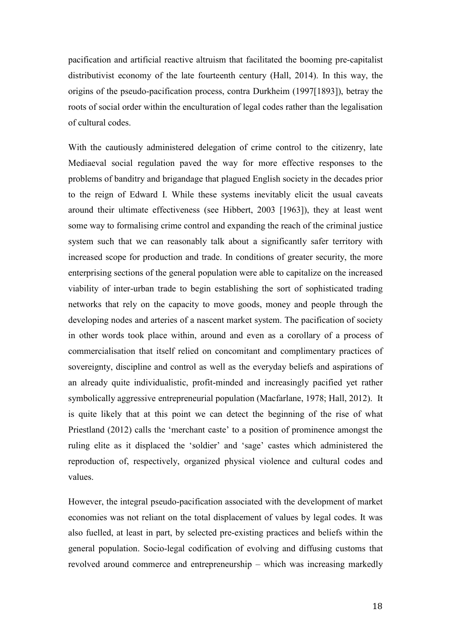pacification and artificial reactive altruism that facilitated the booming pre-capitalist distributivist economy of the late fourteenth century (Hall, 2014). In this way, the origins of the pseudo-pacification process, contra Durkheim (1997[1893]), betray the roots of social order within the enculturation of legal codes rather than the legalisation of cultural codes.

With the cautiously administered delegation of crime control to the citizenry, late Mediaeval social regulation paved the way for more effective responses to the problems of banditry and brigandage that plagued English society in the decades prior to the reign of Edward I. While these systems inevitably elicit the usual caveats around their ultimate effectiveness (see Hibbert, 2003 [1963]), they at least went some way to formalising crime control and expanding the reach of the criminal justice system such that we can reasonably talk about a significantly safer territory with increased scope for production and trade. In conditions of greater security, the more enterprising sections of the general population were able to capitalize on the increased viability of inter-urban trade to begin establishing the sort of sophisticated trading networks that rely on the capacity to move goods, money and people through the developing nodes and arteries of a nascent market system. The pacification of society in other words took place within, around and even as a corollary of a process of commercialisation that itself relied on concomitant and complimentary practices of sovereignty, discipline and control as well as the everyday beliefs and aspirations of an already quite individualistic, profit-minded and increasingly pacified yet rather symbolically aggressive entrepreneurial population (Macfarlane, 1978; Hall, 2012). It is quite likely that at this point we can detect the beginning of the rise of what Priestland (2012) calls the 'merchant caste' to a position of prominence amongst the ruling elite as it displaced the 'soldier' and 'sage' castes which administered the reproduction of, respectively, organized physical violence and cultural codes and values.

However, the integral pseudo-pacification associated with the development of market economies was not reliant on the total displacement of values by legal codes. It was also fuelled, at least in part, by selected pre-existing practices and beliefs within the general population. Socio-legal codification of evolving and diffusing customs that revolved around commerce and entrepreneurship – which was increasing markedly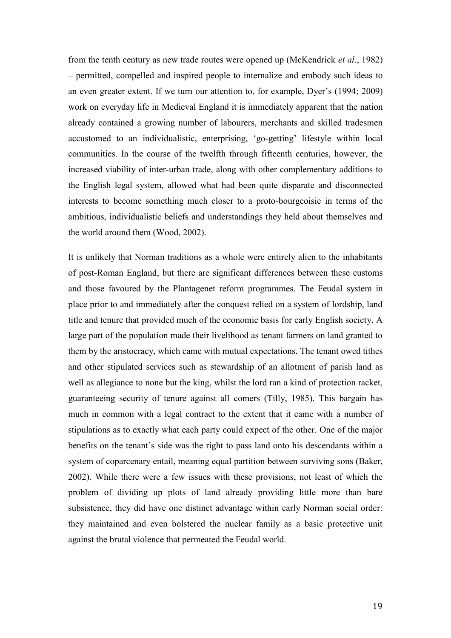from the tenth century as new trade routes were opened up (McKendrick *et al*., 1982) – permitted, compelled and inspired people to internalize and embody such ideas to an even greater extent. If we turn our attention to, for example, Dyer's (1994; 2009) work on everyday life in Medieval England it is immediately apparent that the nation already contained a growing number of labourers, merchants and skilled tradesmen accustomed to an individualistic, enterprising, 'go-getting' lifestyle within local communities. In the course of the twelfth through fifteenth centuries, however, the increased viability of inter-urban trade, along with other complementary additions to the English legal system, allowed what had been quite disparate and disconnected interests to become something much closer to a proto-bourgeoisie in terms of the ambitious, individualistic beliefs and understandings they held about themselves and the world around them (Wood, 2002).

It is unlikely that Norman traditions as a whole were entirely alien to the inhabitants of post-Roman England, but there are significant differences between these customs and those favoured by the Plantagenet reform programmes. The Feudal system in place prior to and immediately after the conquest relied on a system of lordship, land title and tenure that provided much of the economic basis for early English society. A large part of the population made their livelihood as tenant farmers on land granted to them by the aristocracy, which came with mutual expectations. The tenant owed tithes and other stipulated services such as stewardship of an allotment of parish land as well as allegiance to none but the king, whilst the lord ran a kind of protection racket, guaranteeing security of tenure against all comers (Tilly, 1985). This bargain has much in common with a legal contract to the extent that it came with a number of stipulations as to exactly what each party could expect of the other. One of the major benefits on the tenant's side was the right to pass land onto his descendants within a system of coparcenary entail, meaning equal partition between surviving sons (Baker, 2002). While there were a few issues with these provisions, not least of which the problem of dividing up plots of land already providing little more than bare subsistence, they did have one distinct advantage within early Norman social order: they maintained and even bolstered the nuclear family as a basic protective unit against the brutal violence that permeated the Feudal world.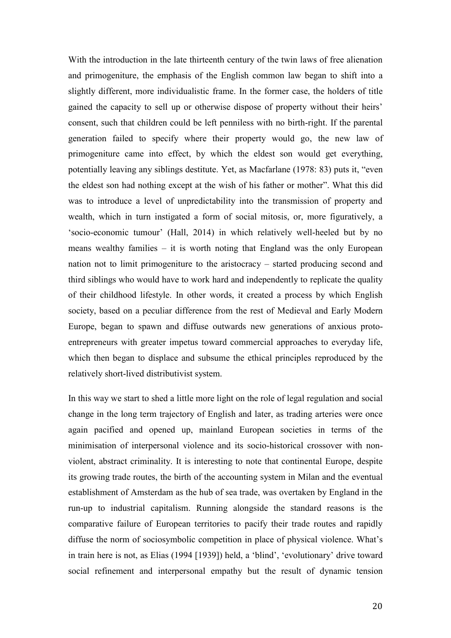With the introduction in the late thirteenth century of the twin laws of free alienation and primogeniture, the emphasis of the English common law began to shift into a slightly different, more individualistic frame. In the former case, the holders of title gained the capacity to sell up or otherwise dispose of property without their heirs' consent, such that children could be left penniless with no birth-right. If the parental generation failed to specify where their property would go, the new law of primogeniture came into effect, by which the eldest son would get everything, potentially leaving any siblings destitute. Yet, as Macfarlane (1978: 83) puts it, "even the eldest son had nothing except at the wish of his father or mother". What this did was to introduce a level of unpredictability into the transmission of property and wealth, which in turn instigated a form of social mitosis, or, more figuratively, a 'socio-economic tumour' (Hall, 2014) in which relatively well-heeled but by no means wealthy families – it is worth noting that England was the only European nation not to limit primogeniture to the aristocracy – started producing second and third siblings who would have to work hard and independently to replicate the quality of their childhood lifestyle. In other words, it created a process by which English society, based on a peculiar difference from the rest of Medieval and Early Modern Europe, began to spawn and diffuse outwards new generations of anxious protoentrepreneurs with greater impetus toward commercial approaches to everyday life, which then began to displace and subsume the ethical principles reproduced by the relatively short-lived distributivist system.

In this way we start to shed a little more light on the role of legal regulation and social change in the long term trajectory of English and later, as trading arteries were once again pacified and opened up, mainland European societies in terms of the minimisation of interpersonal violence and its socio-historical crossover with nonviolent, abstract criminality. It is interesting to note that continental Europe, despite its growing trade routes, the birth of the accounting system in Milan and the eventual establishment of Amsterdam as the hub of sea trade, was overtaken by England in the run-up to industrial capitalism. Running alongside the standard reasons is the comparative failure of European territories to pacify their trade routes and rapidly diffuse the norm of sociosymbolic competition in place of physical violence. What's in train here is not, as Elias (1994 [1939]) held, a 'blind', 'evolutionary' drive toward social refinement and interpersonal empathy but the result of dynamic tension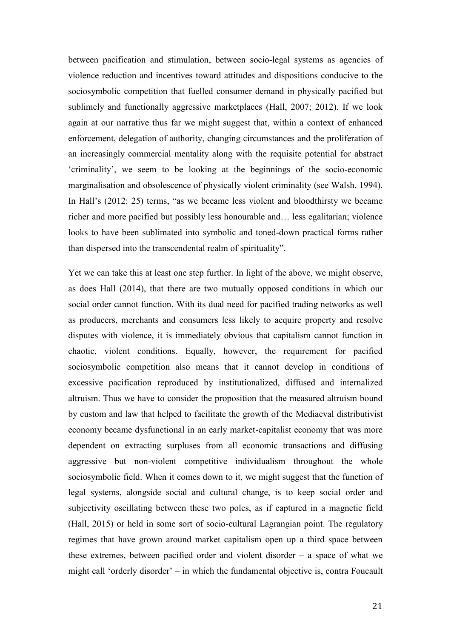between pacification and stimulation, between socio-legal systems as agencies of violence reduction and incentives toward attitudes and dispositions conducive to the sociosymbolic competition that fuelled consumer demand in physically pacified but sublimely and functionally aggressive marketplaces (Hall, 2007; 2012). If we look again at our narrative thus far we might suggest that, within a context of enhanced enforcement, delegation of authority, changing circumstances and the proliferation of an increasingly commercial mentality along with the requisite potential for abstract 'criminality', we seem to be looking at the beginnings of the socio-economic marginalisation and obsolescence of physically violent criminality (see Walsh, 1994). In Hall's (2012: 25) terms, "as we became less violent and bloodthirsty we became richer and more pacified but possibly less honourable and… less egalitarian; violence looks to have been sublimated into symbolic and toned-down practical forms rather than dispersed into the transcendental realm of spirituality".

Yet we can take this at least one step further. In light of the above, we might observe, as does Hall (2014), that there are two mutually opposed conditions in which our social order cannot function. With its dual need for pacified trading networks as well as producers, merchants and consumers less likely to acquire property and resolve disputes with violence, it is immediately obvious that capitalism cannot function in chaotic, violent conditions. Equally, however, the requirement for pacified sociosymbolic competition also means that it cannot develop in conditions of excessive pacification reproduced by institutionalized, diffused and internalized altruism. Thus we have to consider the proposition that the measured altruism bound by custom and law that helped to facilitate the growth of the Mediaeval distributivist economy became dysfunctional in an early market-capitalist economy that was more dependent on extracting surpluses from all economic transactions and diffusing aggressive but non-violent competitive individualism throughout the whole sociosymbolic field. When it comes down to it, we might suggest that the function of legal systems, alongside social and cultural change, is to keep social order and subjectivity oscillating between these two poles, as if captured in a magnetic field (Hall, 2015) or held in some sort of socio-cultural Lagrangian point. The regulatory regimes that have grown around market capitalism open up a third space between these extremes, between pacified order and violent disorder – a space of what we might call 'orderly disorder' – in which the fundamental objective is, contra Foucault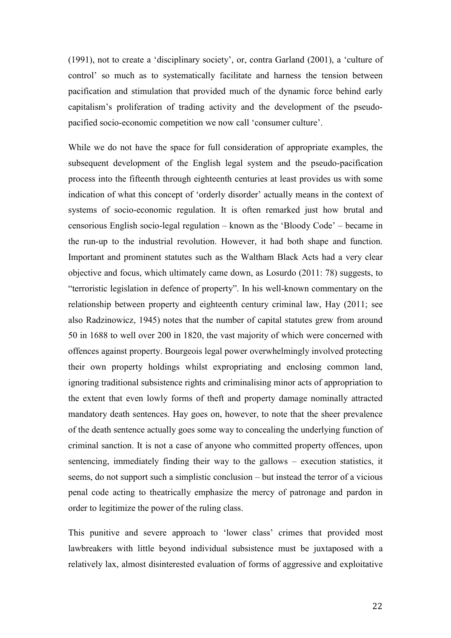(1991), not to create a 'disciplinary society', or, contra Garland (2001), a 'culture of control' so much as to systematically facilitate and harness the tension between pacification and stimulation that provided much of the dynamic force behind early capitalism's proliferation of trading activity and the development of the pseudopacified socio-economic competition we now call 'consumer culture'.

While we do not have the space for full consideration of appropriate examples, the subsequent development of the English legal system and the pseudo-pacification process into the fifteenth through eighteenth centuries at least provides us with some indication of what this concept of 'orderly disorder' actually means in the context of systems of socio-economic regulation. It is often remarked just how brutal and censorious English socio-legal regulation – known as the 'Bloody Code' – became in the run-up to the industrial revolution. However, it had both shape and function. Important and prominent statutes such as the Waltham Black Acts had a very clear objective and focus, which ultimately came down, as Losurdo (2011: 78) suggests, to "terroristic legislation in defence of property". In his well-known commentary on the relationship between property and eighteenth century criminal law, Hay (2011; see also Radzinowicz, 1945) notes that the number of capital statutes grew from around 50 in 1688 to well over 200 in 1820, the vast majority of which were concerned with offences against property. Bourgeois legal power overwhelmingly involved protecting their own property holdings whilst expropriating and enclosing common land, ignoring traditional subsistence rights and criminalising minor acts of appropriation to the extent that even lowly forms of theft and property damage nominally attracted mandatory death sentences. Hay goes on, however, to note that the sheer prevalence of the death sentence actually goes some way to concealing the underlying function of criminal sanction. It is not a case of anyone who committed property offences, upon sentencing, immediately finding their way to the gallows – execution statistics, it seems, do not support such a simplistic conclusion – but instead the terror of a vicious penal code acting to theatrically emphasize the mercy of patronage and pardon in order to legitimize the power of the ruling class.

This punitive and severe approach to 'lower class' crimes that provided most lawbreakers with little beyond individual subsistence must be juxtaposed with a relatively lax, almost disinterested evaluation of forms of aggressive and exploitative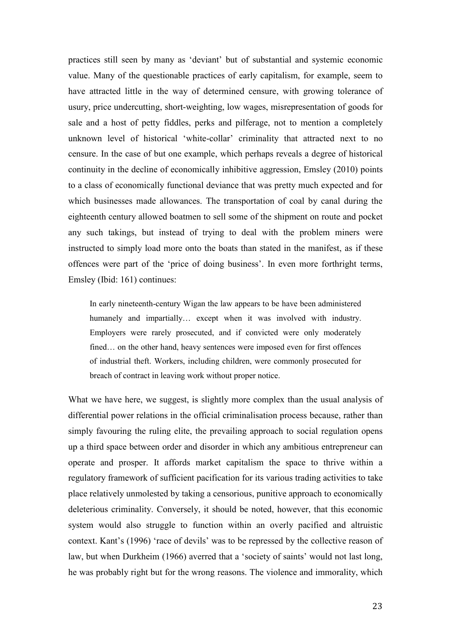practices still seen by many as 'deviant' but of substantial and systemic economic value. Many of the questionable practices of early capitalism, for example, seem to have attracted little in the way of determined censure, with growing tolerance of usury, price undercutting, short-weighting, low wages, misrepresentation of goods for sale and a host of petty fiddles, perks and pilferage, not to mention a completely unknown level of historical 'white-collar' criminality that attracted next to no censure. In the case of but one example, which perhaps reveals a degree of historical continuity in the decline of economically inhibitive aggression, Emsley (2010) points to a class of economically functional deviance that was pretty much expected and for which businesses made allowances. The transportation of coal by canal during the eighteenth century allowed boatmen to sell some of the shipment on route and pocket any such takings, but instead of trying to deal with the problem miners were instructed to simply load more onto the boats than stated in the manifest, as if these offences were part of the 'price of doing business'. In even more forthright terms, Emsley (Ibid: 161) continues:

In early nineteenth-century Wigan the law appears to be have been administered humanely and impartially... except when it was involved with industry. Employers were rarely prosecuted, and if convicted were only moderately fined… on the other hand, heavy sentences were imposed even for first offences of industrial theft. Workers, including children, were commonly prosecuted for breach of contract in leaving work without proper notice.

What we have here, we suggest, is slightly more complex than the usual analysis of differential power relations in the official criminalisation process because, rather than simply favouring the ruling elite, the prevailing approach to social regulation opens up a third space between order and disorder in which any ambitious entrepreneur can operate and prosper. It affords market capitalism the space to thrive within a regulatory framework of sufficient pacification for its various trading activities to take place relatively unmolested by taking a censorious, punitive approach to economically deleterious criminality. Conversely, it should be noted, however, that this economic system would also struggle to function within an overly pacified and altruistic context. Kant's (1996) 'race of devils' was to be repressed by the collective reason of law, but when Durkheim (1966) averred that a 'society of saints' would not last long, he was probably right but for the wrong reasons. The violence and immorality, which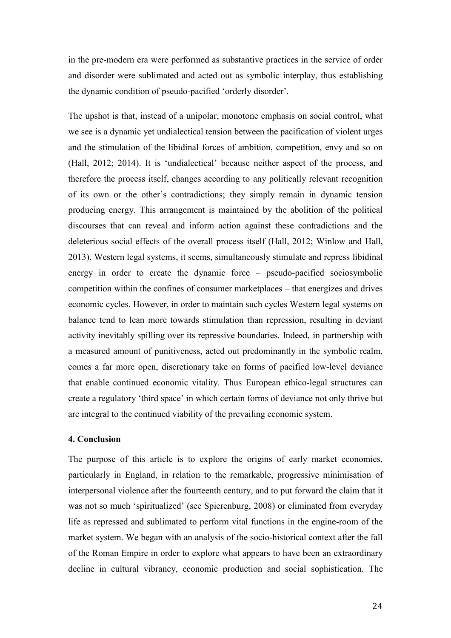in the pre-modern era were performed as substantive practices in the service of order and disorder were sublimated and acted out as symbolic interplay, thus establishing the dynamic condition of pseudo-pacified 'orderly disorder'.

The upshot is that, instead of a unipolar, monotone emphasis on social control, what we see is a dynamic yet undialectical tension between the pacification of violent urges and the stimulation of the libidinal forces of ambition, competition, envy and so on (Hall, 2012; 2014). It is 'undialectical' because neither aspect of the process, and therefore the process itself, changes according to any politically relevant recognition of its own or the other's contradictions; they simply remain in dynamic tension producing energy. This arrangement is maintained by the abolition of the political discourses that can reveal and inform action against these contradictions and the deleterious social effects of the overall process itself (Hall, 2012; Winlow and Hall, 2013). Western legal systems, it seems, simultaneously stimulate and repress libidinal energy in order to create the dynamic force – pseudo-pacified sociosymbolic competition within the confines of consumer marketplaces – that energizes and drives economic cycles. However, in order to maintain such cycles Western legal systems on balance tend to lean more towards stimulation than repression, resulting in deviant activity inevitably spilling over its repressive boundaries. Indeed, in partnership with a measured amount of punitiveness, acted out predominantly in the symbolic realm, comes a far more open, discretionary take on forms of pacified low-level deviance that enable continued economic vitality. Thus European ethico-legal structures can create a regulatory 'third space' in which certain forms of deviance not only thrive but are integral to the continued viability of the prevailing economic system.

## **4. Conclusion**

The purpose of this article is to explore the origins of early market economies, particularly in England, in relation to the remarkable, progressive minimisation of interpersonal violence after the fourteenth century, and to put forward the claim that it was not so much 'spiritualized' (see Spierenburg, 2008) or eliminated from everyday life as repressed and sublimated to perform vital functions in the engine-room of the market system. We began with an analysis of the socio-historical context after the fall of the Roman Empire in order to explore what appears to have been an extraordinary decline in cultural vibrancy, economic production and social sophistication. The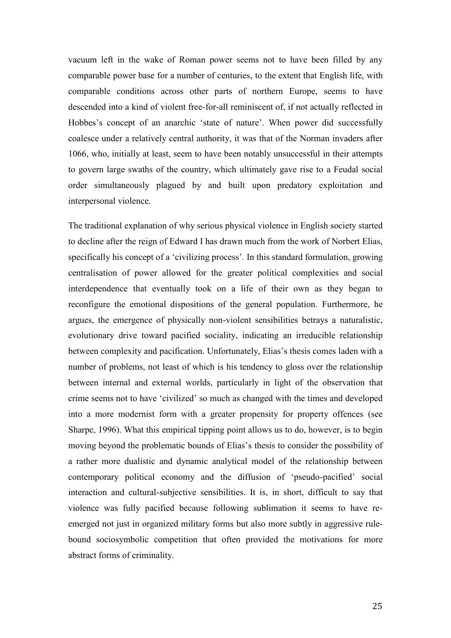vacuum left in the wake of Roman power seems not to have been filled by any comparable power base for a number of centuries, to the extent that English life, with comparable conditions across other parts of northern Europe, seems to have descended into a kind of violent free-for-all reminiscent of, if not actually reflected in Hobbes's concept of an anarchic 'state of nature'. When power did successfully coalesce under a relatively central authority, it was that of the Norman invaders after 1066, who, initially at least, seem to have been notably unsuccessful in their attempts to govern large swaths of the country, which ultimately gave rise to a Feudal social order simultaneously plagued by and built upon predatory exploitation and interpersonal violence.

The traditional explanation of why serious physical violence in English society started to decline after the reign of Edward I has drawn much from the work of Norbert Elias, specifically his concept of a 'civilizing process'. In this standard formulation, growing centralisation of power allowed for the greater political complexities and social interdependence that eventually took on a life of their own as they began to reconfigure the emotional dispositions of the general population. Furthermore, he argues, the emergence of physically non-violent sensibilities betrays a naturalistic, evolutionary drive toward pacified sociality, indicating an irreducible relationship between complexity and pacification. Unfortunately, Elias's thesis comes laden with a number of problems, not least of which is his tendency to gloss over the relationship between internal and external worlds, particularly in light of the observation that crime seems not to have 'civilized' so much as changed with the times and developed into a more modernist form with a greater propensity for property offences (see Sharpe, 1996). What this empirical tipping point allows us to do, however, is to begin moving beyond the problematic bounds of Elias's thesis to consider the possibility of a rather more dualistic and dynamic analytical model of the relationship between contemporary political economy and the diffusion of 'pseudo-pacified' social interaction and cultural-subjective sensibilities. It is, in short, difficult to say that violence was fully pacified because following sublimation it seems to have reemerged not just in organized military forms but also more subtly in aggressive rulebound sociosymbolic competition that often provided the motivations for more abstract forms of criminality.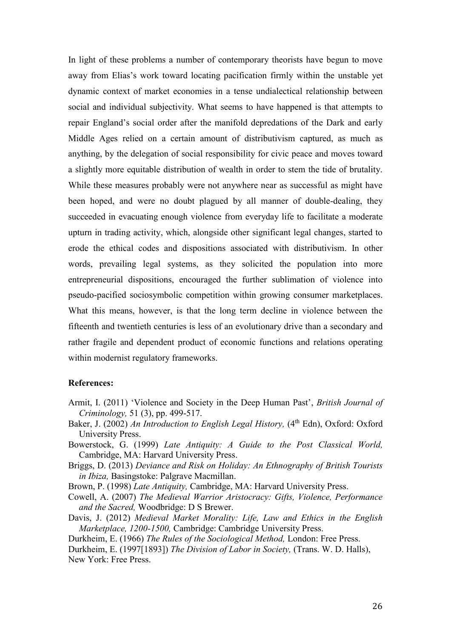In light of these problems a number of contemporary theorists have begun to move away from Elias's work toward locating pacification firmly within the unstable yet dynamic context of market economies in a tense undialectical relationship between social and individual subjectivity. What seems to have happened is that attempts to repair England's social order after the manifold depredations of the Dark and early Middle Ages relied on a certain amount of distributivism captured, as much as anything, by the delegation of social responsibility for civic peace and moves toward a slightly more equitable distribution of wealth in order to stem the tide of brutality. While these measures probably were not anywhere near as successful as might have been hoped, and were no doubt plagued by all manner of double-dealing, they succeeded in evacuating enough violence from everyday life to facilitate a moderate upturn in trading activity, which, alongside other significant legal changes, started to erode the ethical codes and dispositions associated with distributivism. In other words, prevailing legal systems, as they solicited the population into more entrepreneurial dispositions, encouraged the further sublimation of violence into pseudo-pacified sociosymbolic competition within growing consumer marketplaces. What this means, however, is that the long term decline in violence between the fifteenth and twentieth centuries is less of an evolutionary drive than a secondary and rather fragile and dependent product of economic functions and relations operating within modernist regulatory frameworks.

### **References:**

- Armit, I. (2011) 'Violence and Society in the Deep Human Past', *British Journal of Criminology,* 51 (3), pp. 499-517.
- Baker, J. (2002) *An Introduction to English Legal History*, (4<sup>th</sup> Edn), Oxford: Oxford University Press.
- Bowerstock, G. (1999) *Late Antiquity: A Guide to the Post Classical World,* Cambridge, MA: Harvard University Press.
- Briggs, D. (2013) *Deviance and Risk on Holiday: An Ethnography of British Tourists in Ibiza,* Basingstoke: Palgrave Macmillan.

Brown, P. (1998) *Late Antiquity,* Cambridge, MA: Harvard University Press.

- Cowell, A. (2007) *The Medieval Warrior Aristocracy: Gifts, Violence, Performance and the Sacred,* Woodbridge: D S Brewer.
- Davis, J. (2012) *Medieval Market Morality: Life, Law and Ethics in the English Marketplace, 1200-1500,* Cambridge: Cambridge University Press.

Durkheim, E. (1966) *The Rules of the Sociological Method,* London: Free Press.

Durkheim, E. (1997[1893]) *The Division of Labor in Society,* (Trans. W. D. Halls), New York: Free Press.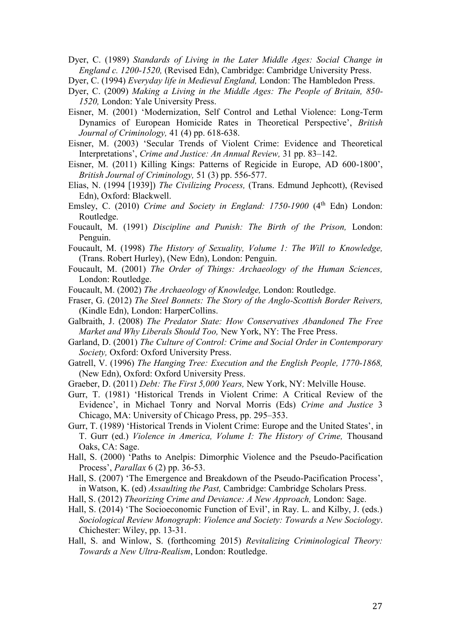Dyer, C. (1989) *Standards of Living in the Later Middle Ages: Social Change in England c. 1200-1520,* (Revised Edn), Cambridge: Cambridge University Press.

- Dyer, C. (1994) *Everyday life in Medieval England,* London: The Hambledon Press.
- Dyer, C. (2009) *Making a Living in the Middle Ages: The People of Britain, 850- 1520,* London: Yale University Press.
- Eisner, M. (2001) 'Modernization, Self Control and Lethal Violence: Long-Term Dynamics of European Homicide Rates in Theoretical Perspective', *British Journal of Criminology,* 41 (4) pp. 618-638.
- Eisner, M. (2003) 'Secular Trends of Violent Crime: Evidence and Theoretical Interpretations', *Crime and Justice: An Annual Review,* 31 pp. 83–142.
- Eisner, M. (2011) Killing Kings: Patterns of Regicide in Europe, AD 600-1800', *British Journal of Criminology,* 51 (3) pp. 556-577.
- Elias, N. (1994 [1939]) *The Civilizing Process,* (Trans. Edmund Jephcott), (Revised Edn), Oxford: Blackwell.
- Emsley, C. (2010) *Crime and Society in England: 1750-1900* (4<sup>th</sup> Edn) London: Routledge.
- Foucault, M. (1991) *Discipline and Punish: The Birth of the Prison,* London: Penguin.
- Foucault, M. (1998) *The History of Sexuality, Volume 1: The Will to Knowledge,*  (Trans. Robert Hurley), (New Edn), London: Penguin.
- Foucault, M. (2001) *The Order of Things: Archaeology of the Human Sciences,* London: Routledge.
- Foucault, M. (2002) *The Archaeology of Knowledge,* London: Routledge.
- Fraser, G. (2012) *The Steel Bonnets: The Story of the Anglo-Scottish Border Reivers,* (Kindle Edn), London: HarperCollins.
- Galbraith, J. (2008) *The Predator State: How Conservatives Abandoned The Free Market and Why Liberals Should Too,* New York, NY: The Free Press.
- Garland, D. (2001) *The Culture of Control: Crime and Social Order in Contemporary Society,* Oxford: Oxford University Press.
- Gatrell, V. (1996) *The Hanging Tree: Execution and the English People, 1770-1868,* (New Edn), Oxford: Oxford University Press.
- Graeber, D. (2011) *Debt: The First 5,000 Years,* New York, NY: Melville House.
- Gurr, T. (1981) 'Historical Trends in Violent Crime: A Critical Review of the Evidence', in Michael Tonry and Norval Morris (Eds) *Crime and Justice* 3 Chicago, MA: University of Chicago Press, pp. 295–353.
- Gurr, T. (1989) 'Historical Trends in Violent Crime: Europe and the United States', in T. Gurr (ed.) *Violence in America, Volume I: The History of Crime,* Thousand Oaks, CA: Sage.
- Hall, S. (2000) 'Paths to Anelpis: Dimorphic Violence and the Pseudo-Pacification Process', *Parallax* 6 (2) pp. 36-53.
- Hall, S. (2007) 'The Emergence and Breakdown of the Pseudo-Pacification Process', in Watson, K. (ed) *Assaulting the Past,* Cambridge: Cambridge Scholars Press.
- Hall, S. (2012) *Theorizing Crime and Deviance: A New Approach,* London: Sage.
- Hall, S. (2014) 'The Socioeconomic Function of Evil', in Ray. L. and Kilby, J. (eds.) *Sociological Review Monograph*: *Violence and Society: Towards a New Sociology*. Chichester: Wiley, pp. 13-31.
- Hall, S. and Winlow, S. (forthcoming 2015) *Revitalizing Criminological Theory: Towards a New Ultra-Realism*, London: Routledge.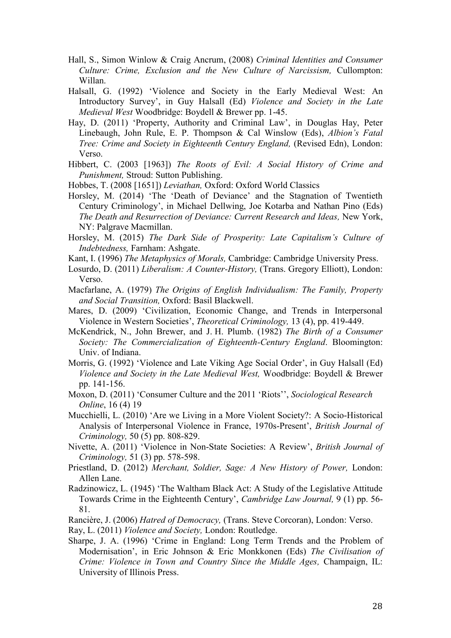- Hall, S., Simon Winlow & Craig Ancrum, (2008) *Criminal Identities and Consumer Culture: Crime, Exclusion and the New Culture of Narcissism,* Cullompton: Willan.
- Halsall, G. (1992) 'Violence and Society in the Early Medieval West: An Introductory Survey', in Guy Halsall (Ed) *Violence and Society in the Late Medieval West* Woodbridge: Boydell & Brewer pp. 1-45.
- Hay, D. (2011) 'Property, Authority and Criminal Law', in Douglas Hay, Peter Linebaugh, John Rule, E. P. Thompson & Cal Winslow (Eds), *Albion's Fatal Tree: Crime and Society in Eighteenth Century England,* (Revised Edn), London: Verso.
- Hibbert, C. (2003 [1963]) *The Roots of Evil: A Social History of Crime and Punishment,* Stroud: Sutton Publishing.
- Hobbes, T. (2008 [1651]) *Leviathan,* Oxford: Oxford World Classics
- Horsley, M. (2014) 'The 'Death of Deviance' and the Stagnation of Twentieth Century Criminology', in Michael Dellwing, Joe Kotarba and Nathan Pino (Eds) *The Death and Resurrection of Deviance: Current Research and Ideas,* New York, NY: Palgrave Macmillan.
- Horsley, M. (2015) *The Dark Side of Prosperity: Late Capitalism's Culture of Indebtedness,* Farnham: Ashgate.
- Kant, I. (1996) *The Metaphysics of Morals,* Cambridge: Cambridge University Press.
- Losurdo, D. (2011) *Liberalism: A Counter-History,* (Trans. Gregory Elliott), London: Verso.
- Macfarlane, A. (1979) *The Origins of English Individualism: The Family, Property and Social Transition,* Oxford: Basil Blackwell.
- Mares, D. (2009) 'Civilization, Economic Change, and Trends in Interpersonal Violence in Western Societies', *Theoretical Criminology,* 13 (4), pp. 419-449.
- McKendrick, N., John Brewer, and J. H. Plumb. (1982) *The Birth of a Consumer Society: The Commercialization of Eighteenth-Century England*. Bloomington: Univ. of Indiana.
- Morris, G. (1992) 'Violence and Late Viking Age Social Order', in Guy Halsall (Ed) *Violence and Society in the Late Medieval West,* Woodbridge: Boydell & Brewer pp. 141-156.
- Moxon, D. (2011) 'Consumer Culture and the 2011 'Riots'', *Sociological Research Online*, 16 (4) 19
- Mucchielli, L. (2010) 'Are we Living in a More Violent Society?: A Socio-Historical Analysis of Interpersonal Violence in France, 1970s-Present', *British Journal of Criminology,* 50 (5) pp. 808-829.
- Nivette, A. (2011) 'Violence in Non-State Societies: A Review', *British Journal of Criminology,* 51 (3) pp. 578-598.
- Priestland, D. (2012) *Merchant, Soldier, Sage: A New History of Power,* London: Allen Lane.
- Radzinowicz, L. (1945) 'The Waltham Black Act: A Study of the Legislative Attitude Towards Crime in the Eighteenth Century', *Cambridge Law Journal,* 9 (1) pp. 56- 81.
- Rancière, J. (2006) *Hatred of Democracy,* (Trans. Steve Corcoran), London: Verso.
- Ray, L. (2011) *Violence and Society,* London: Routledge.
- Sharpe, J. A. (1996) 'Crime in England: Long Term Trends and the Problem of Modernisation', in Eric Johnson & Eric Monkkonen (Eds) *The Civilisation of Crime: Violence in Town and Country Since the Middle Ages,* Champaign, IL: University of Illinois Press.